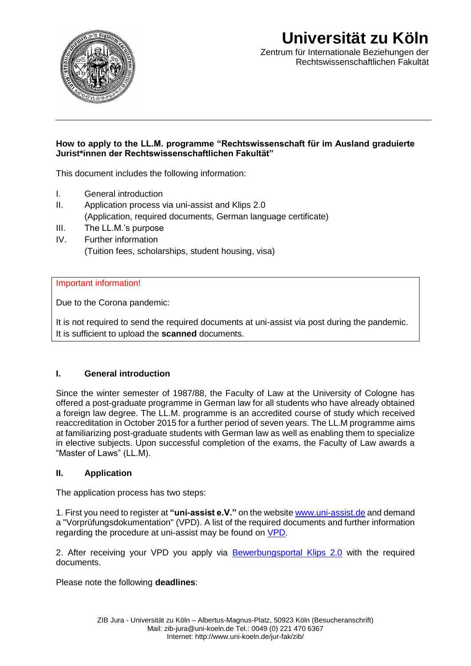

# **Universität zu Köln**

Zentrum für Internationale Beziehungen der Rechtswissenschaftlichen Fakultät

#### **How to apply to the LL.M. programme "Rechtswissenschaft für im Ausland graduierte Jurist\*innen der Rechtswissenschaftlichen Fakultät"**

This document includes the following information:

- I. General introduction
- II. Application process via uni-assist and Klips 2.0 (Application, required documents, German language certificate)
- III. The LL.M.'s purpose
- IV. Further information (Tuition fees, scholarships, student housing, visa)

#### Important information!

Due to the Corona pandemic:

It is not required to send the required documents at uni-assist via post during the pandemic. It is sufficient to upload the **scanned** documents.

#### **I. General introduction**

Since the winter semester of 1987/88, the Faculty of Law at the University of Cologne has offered a post-graduate programme in German law for all students who have already obtained a foreign law degree. The LL.M. programme is an accredited course of study which received reaccreditation in October 2015 for a further period of seven years. The LL.M programme aims at familiarizing post-graduate students with German law as well as enabling them to specialize in elective subjects. Upon successful completion of the exams, the Faculty of Law awards a "Master of Laws" (LL.M).

#### **II. Application**

The application process has two steps:

1. First you need to register at **"uni-assist e.V."** on the website [www.uni-assist.de](http://www.uni-assist.de/) and demand a "Vorprüfungsdokumentation" (VPD). A list of the required documents and further information regarding the procedure at uni-assist may be found on [VPD.](https://portal.uni-koeln.de/international/studium-in-koeln/internationale-bewerbungen/master-studieninteressierte)

2. After receiving your VPD you apply via [Bewerbungsportal Klips 2.0](https://klips2.uni-koeln.de/co/webnav.ini) with the required documents.

Please note the following **deadlines**: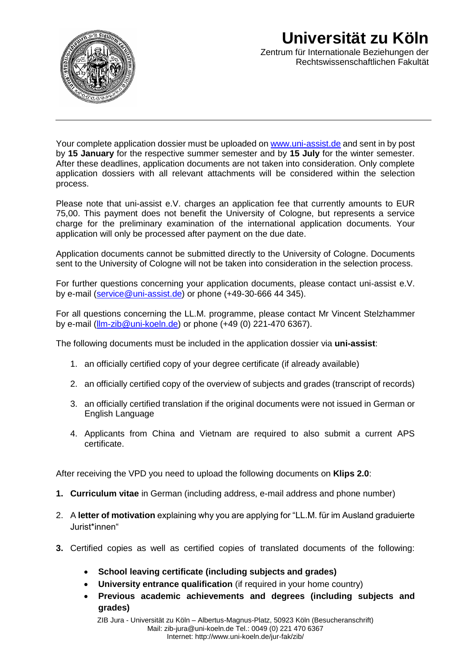

## **Universität zu Köln**  Zentrum für Internationale Beziehungen der Rechtswissenschaftlichen Fakultät

Your complete application dossier must be uploaded on [www.uni-assist.de](http://www.uni-assist.de/) and sent in by post by **15 January** for the respective summer semester and by **15 July** for the winter semester. After these deadlines, application documents are not taken into consideration. Only complete application dossiers with all relevant attachments will be considered within the selection process.

Please note that uni-assist e.V. charges an application fee that currently amounts to EUR 75,00. This payment does not benefit the University of Cologne, but represents a service charge for the preliminary examination of the international application documents. Your application will only be processed after payment on the due date.

Application documents cannot be submitted directly to the University of Cologne. Documents sent to the University of Cologne will not be taken into consideration in the selection process.

For further questions concerning your application documents, please contact uni-assist e.V. by e-mail [\(service@uni-assist.de\)](mailto:service@uni-assist.de) or phone (+49-30-666 44 345).

For all questions concerning the LL.M. programme, please contact Mr Vincent Stelzhammer by e-mail [\(llm-zib@uni-koeln.de\)](mailto:llm-zib@uni-koeln.de) or phone (+49 (0) 221-470 6367).

The following documents must be included in the application dossier via **uni-assist**:

- 1. an officially certified copy of your degree certificate (if already available)
- 2. an officially certified copy of the overview of subjects and grades (transcript of records)
- 3. an officially certified translation if the original documents were not issued in German or English Language
- 4. Applicants from China and Vietnam are required to also submit a current APS certificate.

After receiving the VPD you need to upload the following documents on **Klips 2.0**:

- **1. Curriculum vitae** in German (including address, e-mail address and phone number)
- 2. A **letter of motivation** explaining why you are applying for "LL.M. für im Ausland graduierte Jurist\*innen"
- **3.** Certified copies as well as certified copies of translated documents of the following:
	- **School leaving certificate (including subjects and grades)**
	- **University entrance qualification** (if required in your home country)
	- **Previous academic achievements and degrees (including subjects and grades)**

ZIB Jura - Universität zu Köln – Albertus-Magnus-Platz, 50923 Köln (Besucheranschrift) Mail: zib-jura@uni-koeln.de Tel.: 0049 (0) 221 470 6367 Internet: http://www.uni-koeln.de/jur-fak/zib/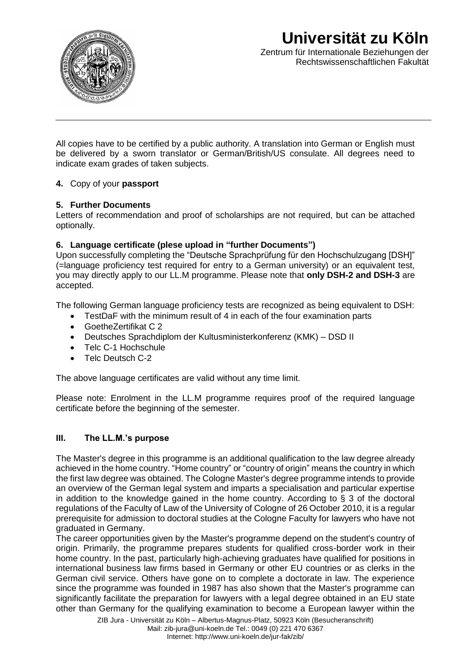

## **Universität zu Köln**  Zentrum für Internationale Beziehungen der Rechtswissenschaftlichen Fakultät

All copies have to be certified by a public authority. A translation into German or English must be delivered by a sworn translator or German/British/US consulate. All degrees need to indicate exam grades of taken subjects.

#### **4.** Copy of your **passport**

#### **5. Further Documents**

Letters of recommendation and proof of scholarships are not required, but can be attached optionally.

#### **6. Language certificate (plese upload in "further Documents")**

Upon successfully completing the "Deutsche Sprachprüfung für den Hochschulzugang [DSH]" (=language proficiency test required for entry to a German university) or an equivalent test, you may directly apply to our LL.M programme. Please note that **only DSH-2 and DSH-3** are accepted.

The following German language proficiency tests are recognized as being equivalent to DSH:

- TestDaF with the minimum result of 4 in each of the four examination parts
- GoetheZertifikat C 2
- Deutsches Sprachdiplom der Kultusministerkonferenz (KMK) DSD II
- Telc C-1 Hochschule
- Telc Deutsch C-2

The above language certificates are valid without any time limit.

Please note: Enrolment in the LL.M programme requires proof of the required language certificate before the beginning of the semester.

#### **III. The LL.M.'s purpose**

The Master's degree in this programme is an additional qualification to the law degree already achieved in the home country. "Home country" or "country of origin" means the country in which the first law degree was obtained. The Cologne Master's degree programme intends to provide an overview of the German legal system and imparts a specialisation and particular expertise in addition to the knowledge gained in the home country. According to  $\frac{1}{2}$  3 of the doctoral regulations of the Faculty of Law of the University of Cologne of 26 October 2010, it is a regular prerequisite for admission to doctoral studies at the Cologne Faculty for lawyers who have not graduated in Germany.

The career opportunities given by the Master's programme depend on the student's country of origin. Primarily, the programme prepares students for qualified cross-border work in their home country. In the past, particularly high-achieving graduates have qualified for positions in international business law firms based in Germany or other EU countries or as clerks in the German civil service. Others have gone on to complete a doctorate in law. The experience since the programme was founded in 1987 has also shown that the Master's programme can significantly facilitate the preparation for lawyers with a legal degree obtained in an EU state other than Germany for the qualifying examination to become a European lawyer within the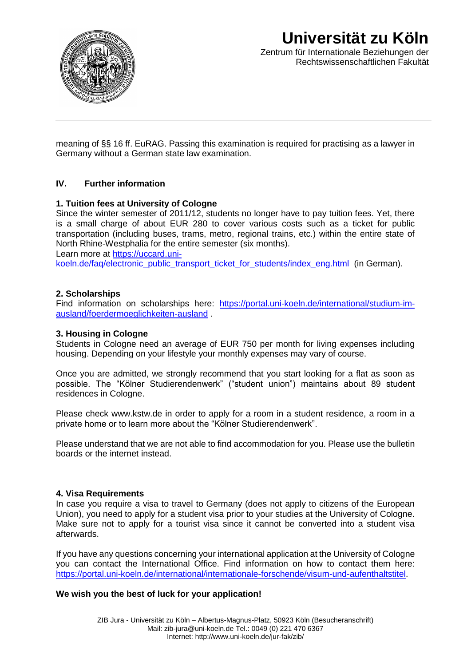

### **Universität zu Köln**  Zentrum für Internationale Beziehungen der Rechtswissenschaftlichen Fakultät

meaning of §§ 16 ff. EuRAG. Passing this examination is required for practising as a lawyer in Germany without a German state law examination.

#### **IV. Further information**

#### **1. Tuition fees at University of Cologne**

Since the winter semester of 2011/12, students no longer have to pay tuition fees. Yet, there is a small charge of about EUR 280 to cover various costs such as a ticket for public transportation (including buses, trams, metro, regional trains, etc.) within the entire state of North Rhine-Westphalia for the entire semester (six months).

Learn more at [https://uccard.uni-](https://uccard.uni-koeln.de/faq/electronic_public_transport_ticket_for_students/index_eng.html)

[koeln.de/faq/electronic\\_public\\_transport\\_ticket\\_for\\_students/index\\_eng.html](https://uccard.uni-koeln.de/faq/electronic_public_transport_ticket_for_students/index_eng.html) (in German).

#### **2. Scholarships**

Find information on scholarships here: [https://portal.uni-koeln.de/international/studium-im](https://portal.uni-koeln.de/international/studium-im-ausland/foerdermoeglichkeiten-ausland)[ausland/foerdermoeglichkeiten-ausland](https://portal.uni-koeln.de/international/studium-im-ausland/foerdermoeglichkeiten-ausland) .

#### **3. Housing in Cologne**

Students in Cologne need an average of EUR 750 per month for living expenses including housing. Depending on your lifestyle your monthly expenses may vary of course.

Once you are admitted, we strongly recommend that you start looking for a flat as soon as possible. The "Kölner Studierendenwerk" ("student union") maintains about 89 student residences in Cologne.

Please check www.kstw.de in order to apply for a room in a student residence, a room in a private home or to learn more about the "Kölner Studierendenwerk".

Please understand that we are not able to find accommodation for you. Please use the bulletin boards or the internet instead.

#### **4. Visa Requirements**

In case you require a visa to travel to Germany (does not apply to citizens of the European Union), you need to apply for a student visa prior to your studies at the University of Cologne. Make sure not to apply for a tourist visa since it cannot be converted into a student visa afterwards.

If you have any questions concerning your international application at the University of Cologne you can contact the International Office. Find information on how to contact them here: [https://portal.uni-koeln.de/international/internationale-forschende/visum-und-aufenthaltstitel.](https://portal.uni-koeln.de/international/internationale-forschende/visum-und-aufenthaltstitel)

#### **We wish you the best of luck for your application!**